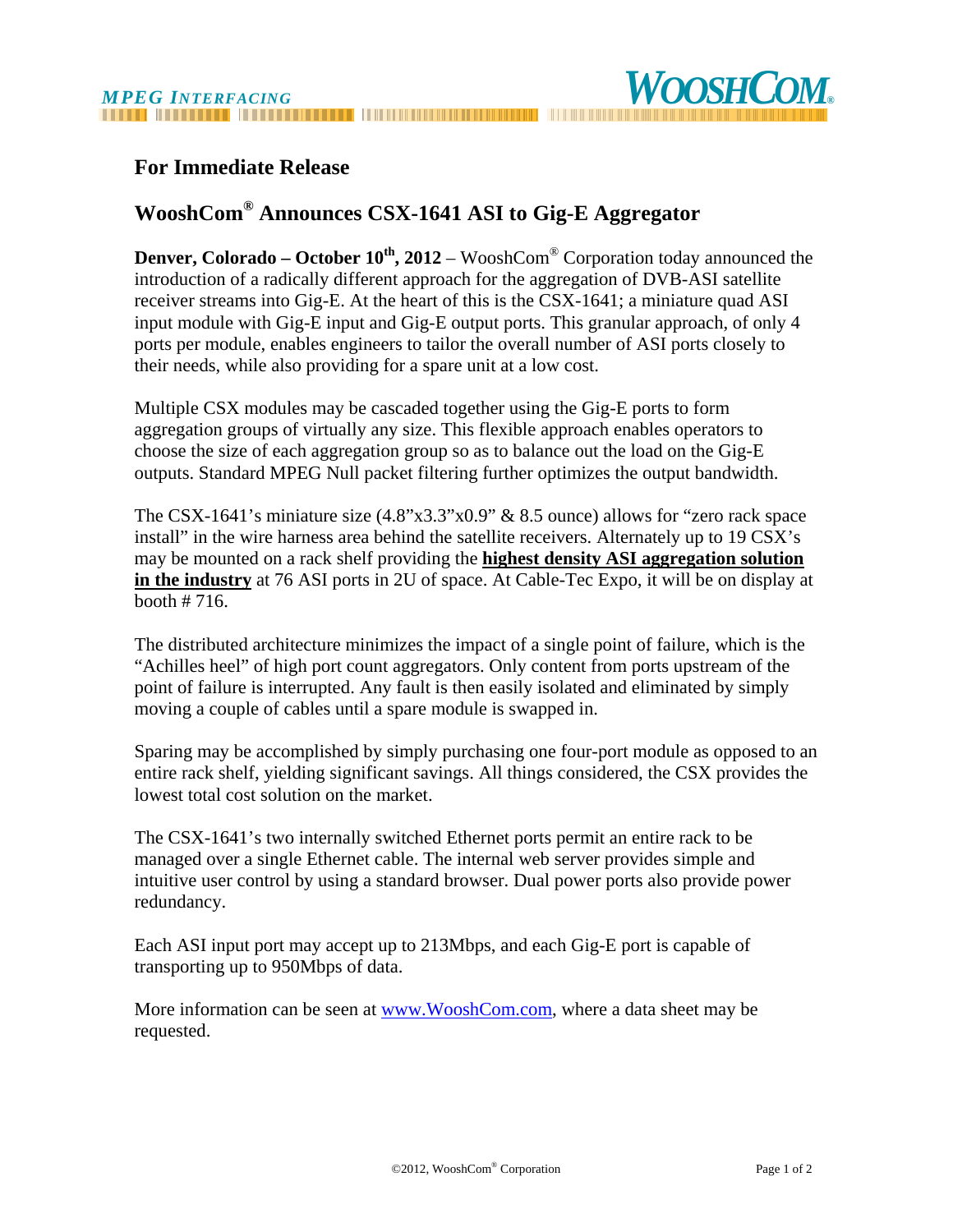

## **For Immediate Release**

## **WooshCom® Announces CSX-1641 ASI to Gig-E Aggregator**

**Denver, Colorado – October**  $10^{th}$ **, 2012** – WooshCom<sup>®</sup> Corporation today announced the introduction of a radically different approach for the aggregation of DVB-ASI satellite receiver streams into Gig-E. At the heart of this is the CSX-1641; a miniature quad ASI input module with Gig-E input and Gig-E output ports. This granular approach, of only 4 ports per module, enables engineers to tailor the overall number of ASI ports closely to their needs, while also providing for a spare unit at a low cost.

Multiple CSX modules may be cascaded together using the Gig-E ports to form aggregation groups of virtually any size. This flexible approach enables operators to choose the size of each aggregation group so as to balance out the load on the Gig-E outputs. Standard MPEG Null packet filtering further optimizes the output bandwidth.

The CSX-1641's miniature size (4.8"x3.3"x0.9" & 8.5 ounce) allows for "zero rack space install" in the wire harness area behind the satellite receivers. Alternately up to 19 CSX's may be mounted on a rack shelf providing the **highest density ASI aggregation solution in the industry** at 76 ASI ports in 2U of space. At Cable-Tec Expo, it will be on display at booth # 716.

The distributed architecture minimizes the impact of a single point of failure, which is the "Achilles heel" of high port count aggregators. Only content from ports upstream of the point of failure is interrupted. Any fault is then easily isolated and eliminated by simply moving a couple of cables until a spare module is swapped in.

Sparing may be accomplished by simply purchasing one four-port module as opposed to an entire rack shelf, yielding significant savings. All things considered, the CSX provides the lowest total cost solution on the market.

The CSX-1641's two internally switched Ethernet ports permit an entire rack to be managed over a single Ethernet cable. The internal web server provides simple and intuitive user control by using a standard browser. Dual power ports also provide power redundancy.

Each ASI input port may accept up to 213Mbps, and each Gig-E port is capable of transporting up to 950Mbps of data.

More information can be seen at www.WooshCom.com, where a data sheet may be requested.